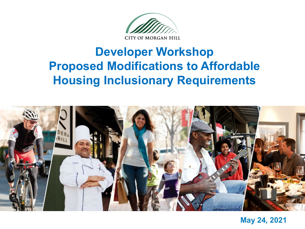

### **Developer Workshop Proposed Modifications to Affordable Housing Inclusionary Requirements**



**May 24, 2021**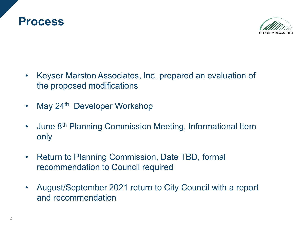



- Keyser Marston Associates, Inc. prepared an evaluation of the proposed modifications
- May 24<sup>th</sup> Developer Workshop
- June 8<sup>th</sup> Planning Commission Meeting, Informational Item only
- Return to Planning Commission, Date TBD, formal recommendation to Council required
- August/September 2021 return to City Council with a report and recommendation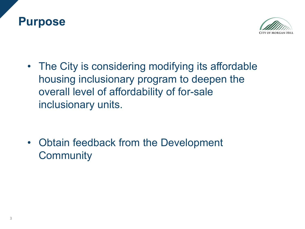



• The City is considering modifying its affordable housing inclusionary program to deepen the overall level of affordability of for-sale inclusionary units.

• Obtain feedback from the Development **Community**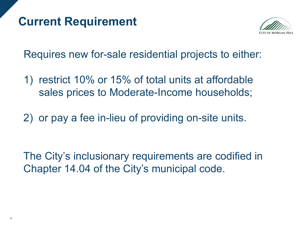### **Current Requirement**



Requires new for-sale residential projects to either:

- 1) restrict 10% or 15% of total units at affordable sales prices to Moderate-Income households;
- 2) or pay a fee in-lieu of providing on-site units.

The City's inclusionary requirements are codified in Chapter 14.04 of the City's municipal code.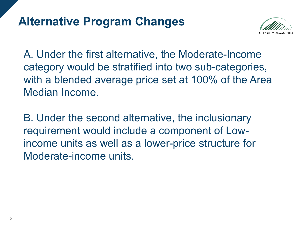### **Alternative Program Changes**



A. Under the first alternative, the Moderate-Income category would be stratified into two sub-categories, with a blended average price set at 100% of the Area Median Income.

B. Under the second alternative, the inclusionary requirement would include a component of Lowincome units as well as a lower-price structure for Moderate-income units.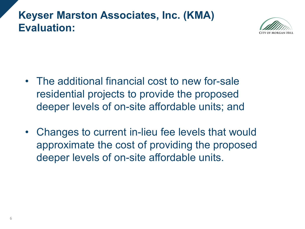### **Keyser Marston Associates, Inc. (KMA) Evaluation:**



- The additional financial cost to new for-sale residential projects to provide the proposed deeper levels of on-site affordable units; and
- Changes to current in-lieu fee levels that would approximate the cost of providing the proposed deeper levels of on-site affordable units.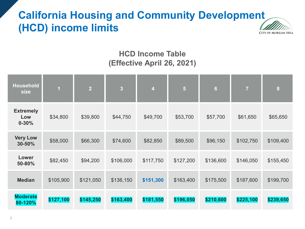### **California Housing and Community Development (HCD) income limits**



#### **HCD Income Table (Effective April 26, 2021)**

| <b>Household</b><br>size             | $\overline{1}$ | $\overline{2}$ | $\overline{\mathbf{3}}$ | $\overline{\mathbf{4}}$ | $\overline{\mathbf{5}}$ | $6\phantom{a}$ | $\overline{7}$ | 8         |
|--------------------------------------|----------------|----------------|-------------------------|-------------------------|-------------------------|----------------|----------------|-----------|
| <b>Extremely</b><br>Low<br>$0 - 30%$ | \$34,800       | \$39,800       | \$44,750                | \$49,700                | \$53,700                | \$57,700       | \$61,650       | \$65,650  |
| <b>Very Low</b><br>30-50%            | \$58,000       | \$66,300       | \$74,600                | \$82,850                | \$89,500                | \$96,150       | \$102,750      | \$109,400 |
| Lower<br>50-80%                      | \$82,450       | \$94,200       | \$106,000               | \$117,750               | \$127,200               | \$136,600      | \$146,050      | \$155,450 |
| <b>Median</b>                        | \$105,900      | \$121,050      | \$136,150               | \$151,300               | \$163,400               | \$175,500      | \$187,600      | \$199,700 |
| <b>Moderate</b><br>80-120%           | \$127,100      | \$145,250      | \$163,400               | \$181,550               | \$196,050               | \$210,600      | \$225,100      | \$239,650 |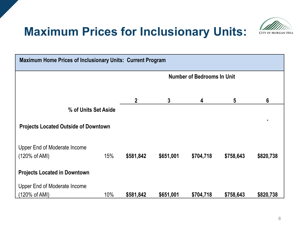## **Maximum Prices for Inclusionary Units:**



| Maximum Home Prices of Inclusionary Units: Current Program |     |                                   |              |           |                 |           |
|------------------------------------------------------------|-----|-----------------------------------|--------------|-----------|-----------------|-----------|
|                                                            |     | <b>Number of Bedrooms In Unit</b> |              |           |                 |           |
|                                                            |     |                                   |              |           |                 |           |
|                                                            |     | $\mathbf{2}$                      | $\mathbf{3}$ | 4         | $5\phantom{.0}$ | 6         |
| % of Units Set Aside                                       |     |                                   |              |           |                 |           |
| <b>Projects Located Outside of Downtown</b>                |     |                                   |              |           |                 |           |
| Upper End of Moderate Income                               |     |                                   |              |           |                 |           |
| $(120\% \text{ of AMI})$                                   | 15% | \$581,842                         | \$651,001    | \$704,718 | \$758,643       | \$820,738 |
| <b>Projects Located in Downtown</b>                        |     |                                   |              |           |                 |           |
| Upper End of Moderate Income                               |     |                                   |              |           |                 |           |
| (120% of AMI)                                              | 10% | \$581,842                         | \$651,001    | \$704,718 | \$758,643       | \$820,738 |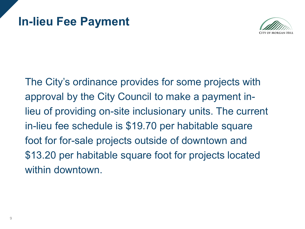

The City's ordinance provides for some projects with approval by the City Council to make a payment inlieu of providing on-site inclusionary units. The current in-lieu fee schedule is \$19.70 per habitable square foot for for-sale projects outside of downtown and \$13.20 per habitable square foot for projects located within downtown.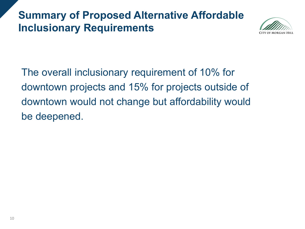### **Summary of Proposed Alternative Affordable Inclusionary Requirements**



The overall inclusionary requirement of 10% for downtown projects and 15% for projects outside of downtown would not change but affordability would be deepened.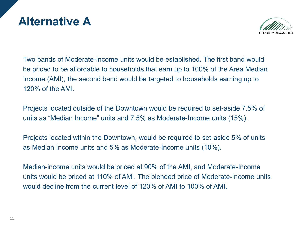### **Alternative A**



Two bands of Moderate-Income units would be established. The first band would be priced to be affordable to households that earn up to 100% of the Area Median Income (AMI), the second band would be targeted to households earning up to 120% of the AMI.

Projects located outside of the Downtown would be required to set-aside 7.5% of units as "Median Income" units and 7.5% as Moderate-Income units (15%).

Projects located within the Downtown, would be required to set-aside 5% of units as Median Income units and 5% as Moderate-Income units (10%).

Median-income units would be priced at 90% of the AMI, and Moderate-Income units would be priced at 110% of AMI. The blended price of Moderate-Income units would decline from the current level of 120% of AMI to 100% of AMI.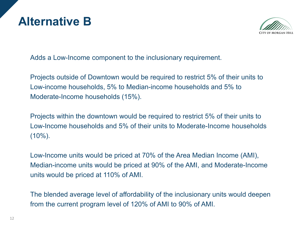



Adds a Low-Income component to the inclusionary requirement.

Projects outside of Downtown would be required to restrict 5% of their units to Low-income households, 5% to Median-income households and 5% to Moderate-Income households (15%).

Projects within the downtown would be required to restrict 5% of their units to Low-Income households and 5% of their units to Moderate-Income households  $(10\%)$ .

Low-Income units would be priced at 70% of the Area Median Income (AMI), Median-income units would be priced at 90% of the AMI, and Moderate-Income units would be priced at 110% of AMI.

The blended average level of affordability of the inclusionary units would deepen from the current program level of 120% of AMI to 90% of AMI.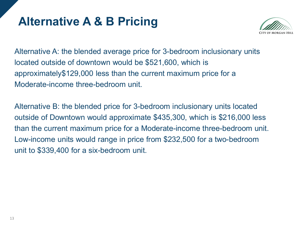### **Alternative A & B Pricing**



Alternative A: the blended average price for 3-bedroom inclusionary units located outside of downtown would be \$521,600, which is approximately\$129,000 less than the current maximum price for a Moderate-income three-bedroom unit.

Alternative B: the blended price for 3-bedroom inclusionary units located outside of Downtown would approximate \$435,300, which is \$216,000 less than the current maximum price for a Moderate-income three-bedroom unit. Low-income units would range in price from \$232,500 for a two-bedroom unit to \$339,400 for a six-bedroom unit.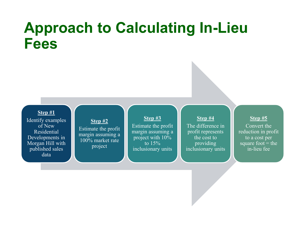# **Approach to Calculating In-Lieu Fees**

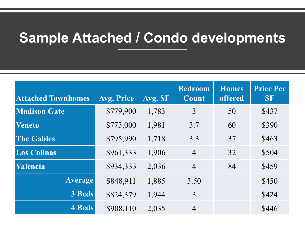# **Sample Attached / Condo developments**

| <b>Attached Townhomes</b> | Avg. Price | Avg. SF | <b>Bedroom</b><br>Count | <b>Homes</b><br><b>offered</b> | <b>Price Per</b><br><b>SF</b> |
|---------------------------|------------|---------|-------------------------|--------------------------------|-------------------------------|
| <b>Madison Gate</b>       | \$779,900  | 1,783   | 3                       | 50                             | \$437                         |
| <b>Veneto</b>             | \$773,000  | 1,981   | 3.7                     | 60                             | \$390                         |
| <b>The Gables</b>         | \$795,990  | 1,718   | 3.3                     | 37                             | \$463                         |
| <b>Los Colinas</b>        | \$961,333  | 1,906   | $\overline{4}$          | 32                             | \$504                         |
| Valencia                  | \$934,333  | 2,036   | $\overline{4}$          | 84                             | \$459                         |
| <b>Average</b>            | \$848,911  | 1,885   | 3.50                    |                                | \$450                         |
| 3 Beds                    | \$824,379  | 1,944   | 3                       |                                | \$424                         |
| <b>4 Beds</b>             | \$908,110  | 2,035   | $\overline{4}$          |                                | \$446                         |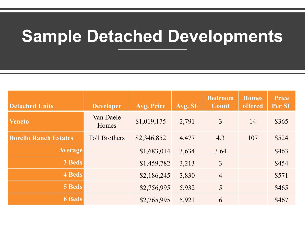# **Sample Detached Developments**

| <b>Detached Units</b>        | <b>Developer</b>     | <b>Avg. Price</b> | Avg. SF | <b>Bedroom</b><br>Count | <b>Homes</b><br>offered | <b>Price</b><br>Per SF |
|------------------------------|----------------------|-------------------|---------|-------------------------|-------------------------|------------------------|
| <b>Veneto</b>                | Van Daele<br>Homes   | \$1,019,175       | 2,791   | 3                       | 14                      | \$365                  |
| <b>Borello Ranch Estates</b> | <b>Toll Brothers</b> | \$2,346,852       | 4,477   | 4.3                     | 107                     | \$524                  |
| <b>Average</b>               |                      | \$1,683,014       | 3,634   | 3.64                    |                         | \$463                  |
| 3 Beds                       |                      | \$1,459,782       | 3,213   | 3                       |                         | \$454                  |
| 4 Beds                       |                      | \$2,186,245       | 3,830   | $\overline{4}$          |                         | \$571                  |
| <b>5 Beds</b>                |                      | \$2,756,995       | 5,932   | 5                       |                         | \$465                  |
| <b>6 Beds</b>                |                      | \$2,765,995       | 5,921   | 6                       |                         | \$467                  |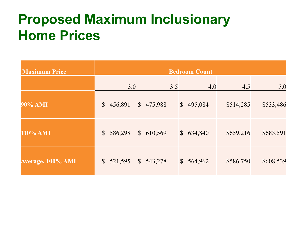# **Proposed Maximum Inclusionary Home Prices**

| <b>Maximum Price</b> |                          |                          | <b>Bedroom Count</b>    |           |           |
|----------------------|--------------------------|--------------------------|-------------------------|-----------|-----------|
|                      | 3.0                      | 3.5                      | 4.0                     | 4.5       | 5.0       |
| 90% AMI              | 456,891<br>$\mathbb{S}$  | $\mathbb{S}$<br>475,988  | \$495,084               | \$514,285 | \$533,486 |
| 110% AMI             | 586,298<br>$\mathbb{S}$  | $\mathcal{S}$<br>610,569 | \$634,840               | \$659,216 | \$683,591 |
| Average, 100% AMI    | $\mathcal{S}$<br>521,595 | $\mathcal{S}$<br>543,278 | $\mathbb{S}$<br>564,962 | \$586,750 | \$608,539 |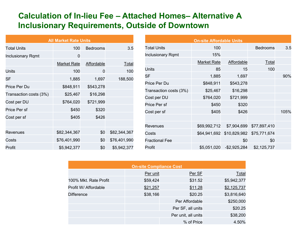#### **Calculation of In-lieu Fee – Attached Homes– Alternative A Inclusionary Requirements, Outside of Downtown**

|                          | <b>All Market Rate Units</b> |                 |              |  |  |  |  |
|--------------------------|------------------------------|-----------------|--------------|--|--|--|--|
| <b>Total Units</b>       | 100                          | <b>Bedrooms</b> | 3.5          |  |  |  |  |
| <b>Inclusionary Rqmt</b> | 0                            |                 |              |  |  |  |  |
|                          | <b>Market Rate</b>           | Affordable      | <u>Total</u> |  |  |  |  |
| Units                    | 100                          | 0               | 100          |  |  |  |  |
| <b>SF</b>                | 1,885                        | 1,697           | 188,500      |  |  |  |  |
| Price Per Du             | \$848,911                    | \$543,278       |              |  |  |  |  |
| Transaction costs (3%)   | \$25,467                     | \$16,298        |              |  |  |  |  |
| Cost per DU              | \$764,020                    | \$721,999       |              |  |  |  |  |
| Price Per sf             | \$450                        | \$320           |              |  |  |  |  |
| Cost per sf              | \$405                        | \$426           |              |  |  |  |  |
|                          |                              |                 |              |  |  |  |  |
| Revenues                 | \$82,344,367                 | \$0             | \$82,344,367 |  |  |  |  |
| Costs                    | \$76,401,990                 | \$0             | \$76,401,990 |  |  |  |  |
| Profit                   | \$5,942,377                  | \$0             | \$5,942,377  |  |  |  |  |

| <b>On-site Affordable Units</b> |                    |                           |                 |      |  |  |  |
|---------------------------------|--------------------|---------------------------|-----------------|------|--|--|--|
| Total Units                     | 100                |                           | <b>Bedrooms</b> | 3.5  |  |  |  |
| <b>Inclusionary Rqmt</b>        | 15%                |                           |                 |      |  |  |  |
|                                 | <b>Market Rate</b> | Affordable                | Total           |      |  |  |  |
| Units                           | 85                 | 15                        | 100             |      |  |  |  |
| SF                              | 1,885              | 1,697                     |                 | 90%  |  |  |  |
| Price Per Du                    | \$848,911          | \$543,278                 |                 |      |  |  |  |
| Transaction costs (3%)          | \$25,467           | \$16,298                  |                 |      |  |  |  |
| Cost per DU                     | \$764,020          | \$721,999                 |                 |      |  |  |  |
| Price Per sf                    | \$450              | \$320                     |                 |      |  |  |  |
| Cost per sf                     | \$405              | \$426                     |                 | 105% |  |  |  |
|                                 |                    |                           |                 |      |  |  |  |
| Revenues                        | \$69,992,712       | \$7,904,699               | \$77,897,410    |      |  |  |  |
| Costs                           |                    | \$64,941,692 \$10,829,982 | \$75,771,674    |      |  |  |  |
| <b>Fractional Fee</b>           |                    | \$0                       | \$0             |      |  |  |  |
| Profit                          |                    | \$5,051,020 - \$2,925,284 | \$2,125,737     |      |  |  |  |

| <b>On-site Compliance Cost</b> |          |                     |             |  |  |  |
|--------------------------------|----------|---------------------|-------------|--|--|--|
|                                | Per unit | Per SF              | Total       |  |  |  |
| 100% Mkt. Rate Profit          | \$59,424 | \$31.52             | \$5,942,377 |  |  |  |
| Profit W/ Affordable           | \$21,257 | \$11.28             | \$2,125,737 |  |  |  |
| <b>Difference</b>              | \$38,166 | \$20.25             | \$3,816,640 |  |  |  |
|                                |          | Per Affordable      | \$250,000   |  |  |  |
|                                |          | Per SF, all units   | \$20.25     |  |  |  |
|                                |          | Per unit, all units | \$38,200    |  |  |  |
|                                |          | % of Price          | 4.50%       |  |  |  |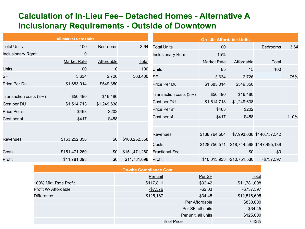#### **Calculation of In-Lieu Fee– Detached Homes - Alternative A Inclusionary Requirements - Outside of Downtown**

|                          | <b>All Market Rate Units</b> |                 |               |                          | <b>On-site Affordable Units</b> |                            |                                          |      |
|--------------------------|------------------------------|-----------------|---------------|--------------------------|---------------------------------|----------------------------|------------------------------------------|------|
| <b>Total Units</b>       | 100                          | <b>Bedrooms</b> | 3.64          | <b>Total Units</b>       | 100                             |                            | <b>Bedrooms</b>                          | 3.64 |
| <b>Inclusionary Rqmt</b> | $\mathbf 0$                  |                 |               | <b>Inclusionary Rqmt</b> | 15%                             |                            |                                          |      |
|                          | <b>Market Rate</b>           | Affordable      | Total         |                          | <b>Market Rate</b>              | Affordable                 | Total                                    |      |
| <b>Units</b>             | 100                          | $\mathbf 0$     | 100           | <b>Units</b>             | 85                              | 15                         | 100                                      |      |
| <b>SF</b>                | 3,634                        | 2,726           | 363,400       | <b>SF</b>                | 3,634                           | 2,726                      |                                          | 75%  |
| Price Per Du             | \$1,683,014                  | \$549,350       |               | Price Per Du             | \$1,683,014                     | \$549,350                  |                                          |      |
| Transaction costs (3%)   | \$50,490                     | \$16,480        |               | Transaction costs (3%)   | \$50,490                        | \$16,480                   |                                          |      |
| Cost per DU              | \$1,514,713                  | \$1,249,638     |               | Cost per DU              | \$1,514,713                     | \$1,249,638                |                                          |      |
| Price Per sf             | \$463                        | \$202           |               | Price Per sf             | \$463                           | \$202                      |                                          |      |
| Cost per sf              | \$417                        | \$458           |               | Cost per sf              | \$417                           | \$458                      |                                          | 110% |
|                          |                              |                 |               |                          |                                 |                            |                                          |      |
|                          |                              |                 |               | <b>Revenues</b>          | \$138,764,504                   |                            | \$7,993,038 \$146,757,542                |      |
| Revenues                 | \$163,252,358                | \$0             | \$163,252,358 | Costs                    |                                 |                            | \$128,750,571 \$18,744,568 \$147,495,139 |      |
| Costs                    | \$151,471,260                | \$0             | \$151,471,260 | <b>Fractional Fee</b>    |                                 | \$0                        | \$0                                      |      |
| Profit                   | \$11,781,098                 | \$0             | \$11,781,098  | Profit                   |                                 | \$10,013,933 -\$10,751,530 | $-$737,597$                              |      |

|                       | <b>On-site Compliance Cost</b> |                     |              |
|-----------------------|--------------------------------|---------------------|--------------|
|                       | Per unit                       | Per SF              | Total        |
| 100% Mkt. Rate Profit | \$117,811                      | \$32.42             | \$11,781,098 |
| Profit W/ Affordable  | $-$7,376$                      | $-$2.03$            | $-$737,597$  |
| <b>Difference</b>     | \$125,187                      | \$34.45             | \$12,518,695 |
|                       |                                | Per Affordable      | \$830,000    |
|                       |                                | Per SF, all units   | \$34.45      |
|                       |                                | Per unit, all units | \$125,000    |
|                       | % of Price                     |                     | 7.43%        |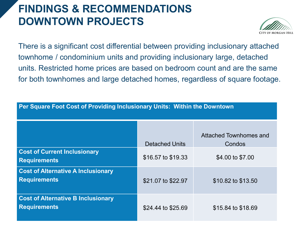### **FINDINGS & RECOMMENDATIONS DOWNTOWN PROJECTS**



There is a significant cost differential between providing inclusionary attached townhome / condominium units and providing inclusionary large, detached units. Restricted home prices are based on bedroom count and are the same for both townhomes and large detached homes, regardless of square footage.

| Per Square Foot Cost of Providing Inclusionary Units: Within the Downtown |                       |                                  |  |  |  |
|---------------------------------------------------------------------------|-----------------------|----------------------------------|--|--|--|
|                                                                           | <b>Detached Units</b> | Attached Townhomes and<br>Condos |  |  |  |
| <b>Cost of Current Inclusionary</b><br><b>Requirements</b>                | \$16.57 to \$19.33    | \$4.00 to \$7.00                 |  |  |  |
| <b>Cost of Alternative A Inclusionary</b><br><b>Requirements</b>          | \$21.07 to \$22.97    | \$10.82 to \$13.50               |  |  |  |
| <b>Cost of Alternative B Inclusionary</b><br><b>Requirements</b>          | \$24.44 to \$25.69    | \$15.84 to \$18.69               |  |  |  |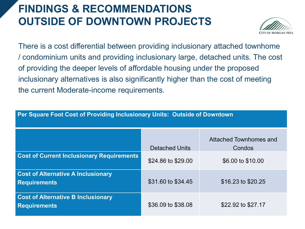### **FINDINGS & RECOMMENDATIONS OUTSIDE OF DOWNTOWN PROJECTS**

**Per Square Foot Cost of Providing Inclusionary Units: Outside of Downtown**



There is a cost differential between providing inclusionary attached townhome / condominium units and providing inclusionary large, detached units. The cost of providing the deeper levels of affordable housing under the proposed inclusionary alternatives is also significantly higher than the cost of meeting the current Moderate-income requirements.

|                                                                  | <b>Detached Units</b> | Attached Townhomes and<br>Condos |
|------------------------------------------------------------------|-----------------------|----------------------------------|
| <b>Cost of Current Inclusionary Requirements</b>                 | \$24.86 to \$29.00    | \$6.00 to \$10.00                |
| <b>Cost of Alternative A Inclusionary</b><br><b>Requirements</b> | \$31.60 to \$34.45    | \$16.23 to \$20.25               |
| <b>Cost of Alternative B Inclusionary</b><br><b>Requirements</b> | \$36.09 to \$38.08    | \$22.92 to \$27.17               |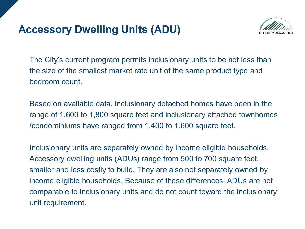### **Accessory Dwelling Units (ADU)**



The City's current program permits inclusionary units to be not less than the size of the smallest market rate unit of the same product type and bedroom count.

Based on available data, inclusionary detached homes have been in the range of 1,600 to 1,800 square feet and inclusionary attached townhomes /condominiums have ranged from 1,400 to 1,600 square feet.

Inclusionary units are separately owned by income eligible households. Accessory dwelling units (ADUs) range from 500 to 700 square feet, smaller and less costly to build. They are also not separately owned by income eligible households. Because of these differences, ADUs are not comparable to inclusionary units and do not count toward the inclusionary unit requirement.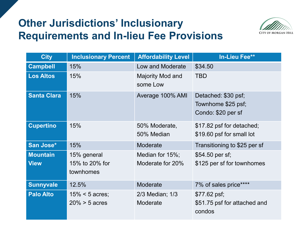### **Other Jurisdictions' Inclusionary Requirements and In-lieu Fee Provisions**



| <b>City</b>                    | <b>Inclusionary Percent</b>                | <b>Affordability Level</b>          | <b>In-Lieu Fee**</b>                                            |
|--------------------------------|--------------------------------------------|-------------------------------------|-----------------------------------------------------------------|
| <b>Campbell</b>                | 15%                                        | Low and Moderate                    | \$34.50                                                         |
| <b>Los Altos</b>               | 15%                                        | Majority Mod and<br>some Low        | <b>TBD</b>                                                      |
| <b>Santa Clara</b>             | 15%                                        | Average 100% AMI                    | Detached: \$30 psf;<br>Townhome \$25 psf;<br>Condo: \$20 per sf |
| <b>Cupertino</b>               | 15%                                        | 50% Moderate,<br>50% Median         | \$17.82 psf for detached;<br>\$19.60 psf for small lot          |
| San Jose*                      | 15%                                        | Moderate                            | Transitioning to \$25 per sf                                    |
| <b>Mountain</b><br><b>View</b> | 15% general<br>15% to 20% for<br>townhomes | Median for 15%;<br>Moderate for 20% | \$54.50 per sf;<br>\$125 per sf for townhomes                   |
| <b>Sunnyvale</b>               | 12.5%                                      | Moderate                            | 7% of sales price****                                           |
| <b>Palo Alto</b>               | $15% < 5$ acres;<br>$20\% > 5$ acres       | $2/3$ Median; $1/3$<br>Moderate     | $$77.62$ psf;<br>\$51.75 psf for attached and<br>condos         |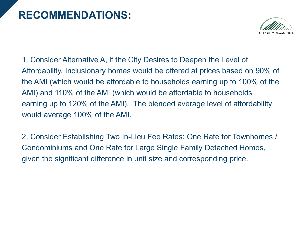### **RECOMMENDATIONS:**



1. Consider Alternative A, if the City Desires to Deepen the Level of Affordability. Inclusionary homes would be offered at prices based on 90% of the AMI (which would be affordable to households earning up to 100% of the AMI) and 110% of the AMI (which would be affordable to households earning up to 120% of the AMI). The blended average level of affordability would average 100% of the AMI.

2. Consider Establishing Two In-Lieu Fee Rates: One Rate for Townhomes / Condominiums and One Rate for Large Single Family Detached Homes, given the significant difference in unit size and corresponding price.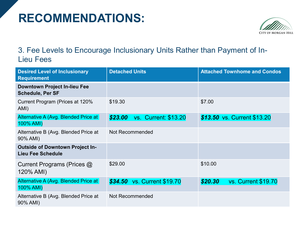## **RECOMMENDATIONS:**



#### 3. Fee Levels to Encourage Inclusionary Units Rather than Payment of In-Lieu Fees

| <b>Desired Level of Inclusionary</b><br><b>Requirement</b>         | <b>Detached Units</b>                  | <b>Attached Townhome and Condos</b>   |
|--------------------------------------------------------------------|----------------------------------------|---------------------------------------|
| <b>Downtown Project In-lieu Fee</b><br><b>Schedule, Per SF</b>     |                                        |                                       |
| Current Program (Prices at 120%<br>AMI)                            | \$19.30                                | \$7.00                                |
| Alternative A (Avg. Blended Price at<br>100% AMI)                  | \$23.00<br><b>vs. Current: \$13.20</b> | \$13.50 vs. Current \$13.20           |
| Alternative B (Avg. Blended Price at<br>90% AMI)                   | Not Recommended                        |                                       |
| <b>Outside of Downtown Project In-</b><br><b>Lieu Fee Schedule</b> |                                        |                                       |
| Current Programs (Prices @<br>120% AMI)                            | \$29.00                                | \$10.00                               |
| Alternative A (Avg. Blended Price at<br>100% AMI)                  | \$34.50 vs. Current \$19.70            | \$20.30<br><b>vs. Current \$19.70</b> |
| Alternative B (Avg. Blended Price at<br>90% AMI)                   | Not Recommended                        |                                       |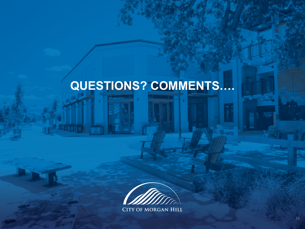# **QUESTIONS? COMMENTS….**



**CITY OF MORGAN HILL**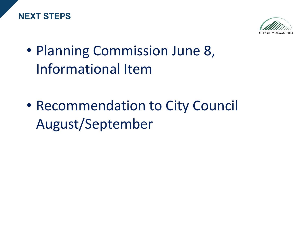



- Planning Commission June 8, Informational Item
- Recommendation to City Council August/September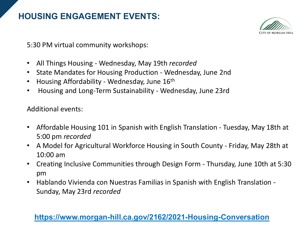#### **HOUSING ENGAGEMENT EVENTS:**



5:30 PM virtual community workshops:

- All Things Housing Wednesday, May 19th *recorded*
- State Mandates for Housing Production Wednesday, June 2nd
- Housing Affordability Wednesday, June 16th
- Housing and Long-Term Sustainability Wednesday, June 23rd

Additional events:

- Affordable Housing 101 in Spanish with English Translation Tuesday, May 18th at 5:00 pm *recorded*
- A Model for Agricultural Workforce Housing in South County Friday, May 28th at 10:00 am
- Creating Inclusive Communities through Design Form Thursday, June 10th at 5:30 pm
- Hablando Vivienda con Nuestras Familias in Spanish with English Translation Sunday, May 23rd *recorded*

#### **<https://www.morgan-hill.ca.gov/2162/2021-Housing-Conversation>**